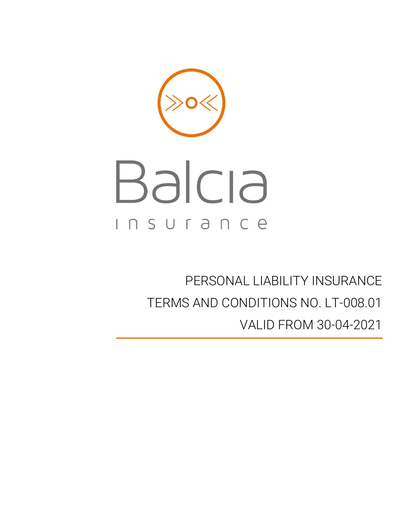# Balcia Insurance

# PERSONAL LIABILITY INSURANCE TERMS AND CONDITIONS NO. LT-008.01 VALID FROM 30-04-2021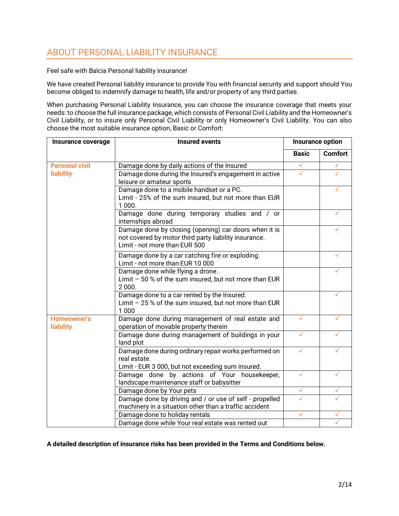# <span id="page-1-0"></span>ABOUT PERSONAL LIABILITY INSURANCE

Feel safe with Balcia Personal liability insurance!

We have created Personal liability insurance to provide You with financial security and support should You become obliged to indemnify damage to health, life and/or property of any third parties.

When purchasing Personal Liability Insurance, you can choose the insurance coverage that meets your needs: to choose the full insurance package, which consists of Personal Civil Liability and the Homeowner's Civil Liability, or to insure only Personal Civil Liability or only Homeowner's Civil Liability. You can also choose the most suitable insurance option, Basic or Comfort:

| Insurance coverage                     | <b>Insured events</b>                                                                                                                           | Insurance option |                |
|----------------------------------------|-------------------------------------------------------------------------------------------------------------------------------------------------|------------------|----------------|
|                                        |                                                                                                                                                 | <b>Basic</b>     | <b>Comfort</b> |
| <b>Personal civil</b>                  | Damage done by daily actions of the Insured                                                                                                     | ✓                |                |
| <b>liability</b>                       | Damage done during the Insured's engagement in active<br>leisure or amateur sports                                                              | ✓                |                |
|                                        | Damage done to a mobile handset or a PC.<br>Limit - 25% of the sum insured, but not more than EUR<br>1 000.                                     |                  |                |
|                                        | Damage done during temporary studies and / or<br>internships abroad                                                                             |                  |                |
|                                        | Damage done by closing (opening) car doors when it is<br>not covered by motor third party liability insurance.<br>Limit - not more than FUR 500 |                  |                |
|                                        | Damage done by a car catching fire or exploding.<br>Limit - not more than EUR 10 000                                                            |                  |                |
|                                        | Damage done while flying a drone.<br>Limit $-50$ % of the sum insured, but not more than EUR<br>2 000.                                          |                  |                |
|                                        | Damage done to a car rented by the Insured.<br>Limit $-25$ % of the sum insured, but not more than EUR<br>1 000                                 |                  |                |
| <b>Homeowner's</b><br><b>liability</b> | Damage done during management of real estate and<br>operation of movable property therein                                                       | ✓                |                |
|                                        | Damage done during management of buildings in your<br>land plot                                                                                 | ✓                |                |
|                                        | Damage done during ordinary repair works performed on<br>real estate.<br>Limit - EUR 3 000, but not exceeding sum insured.                      |                  |                |
|                                        | Damage done by actions of Your housekeeper,<br>landscape maintenance staff or babysitter                                                        | ✓                |                |
|                                        | Damage done by Your pets                                                                                                                        | ✓                |                |
|                                        | Damage done by driving and / or use of self - propelled<br>machinery in a situation other than a traffic accident                               |                  |                |
|                                        | Damage done to holiday rentals                                                                                                                  | ✓                |                |
|                                        | Damage done while Your real estate was rented out                                                                                               |                  |                |

**A detailed description of insurance risks has been provided in the Terms and Conditions below.**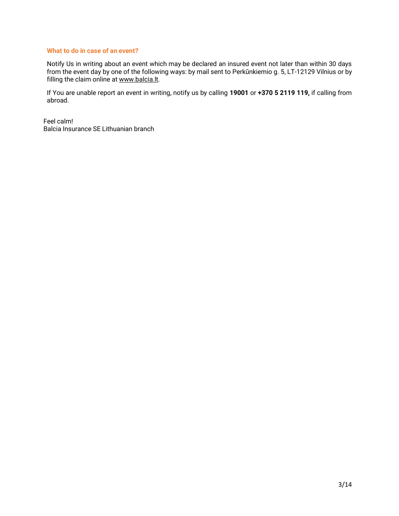#### **What to do in case of an event?**

Notify Us in writing about an event which may be declared an insured event not later than within 30 days from the event day by one of the following ways: by mail sent to Perkūnkiemio g. 5, LT-12129 Vilnius or by filling the claim online a[t www.balcia.lt.](http://www.balcia.lt/)

If You are unable report an event in writing, notify us by calling **19001** or **+370 5 2119 119,** if calling from abroad.

Feel calm! Balcia Insurance SE Lithuanian branch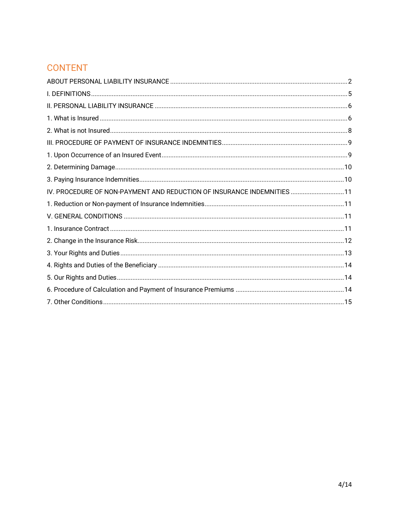# **CONTENT**

| IV. PROCEDURE OF NON-PAYMENT AND REDUCTION OF INSURANCE INDEMNITIES  11 |  |
|-------------------------------------------------------------------------|--|
|                                                                         |  |
|                                                                         |  |
|                                                                         |  |
|                                                                         |  |
|                                                                         |  |
|                                                                         |  |
|                                                                         |  |
|                                                                         |  |
|                                                                         |  |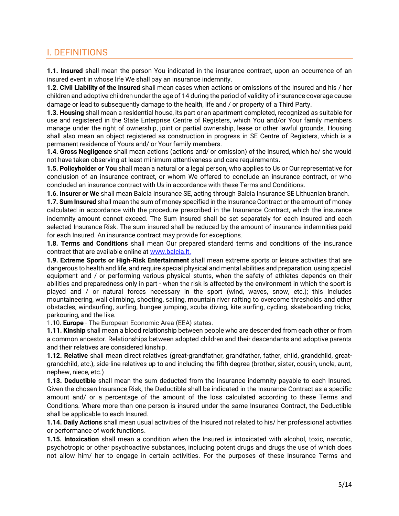# <span id="page-4-0"></span>I. DEFINITIONS

**1.1. Insured** shall mean the person You indicated in the insurance contract, upon an occurrence of an insured event in whose life We shall pay an insurance indemnity.

**1.2. Civil Liability of the Insured** shall mean cases when actions or omissions of the Insured and his / her children and adoptive children under the age of 14 during the period of validity of insurance coverage cause damage or lead to subsequently damage to the health, life and / or property of a Third Party.

**1.3. Housing** shall mean a residential house, its part or an apartment completed, recognized as suitable for use and registered in the State Enterprise Centre of Registers, which You and/or Your family members manage under the right of ownership, joint or partial ownership, lease or other lawful grounds. Housing shall also mean an object registered as construction in progress in SE Centre of Registers, which is a permanent residence of Yours and/ or Your family members.

**1.4. Gross Negligence** shall mean actions (actions and/ or omission) of the Insured, which he/ she would not have taken observing at least minimum attentiveness and care requirements.

**1.5. Policyholder** *or* **You** shall mean a natural or a legal person, who applies to Us or Our representative for conclusion of an insurance contract, or whom We offered to conclude an insurance contract, or who concluded an insurance contract with Us in accordance with these Terms and Conditions.

**1.6. Insurer** *or* **We** shall mean Balcia Insurance SE, acting through Balcia Insurance SE Lithuanian branch.

**1.7. Sum Insured** shall mean the sum of money specified in the Insurance Contract or the amount of money calculated in accordance with the procedure prescribed in the Insurance Contract, which the insurance indemnity amount cannot exceed. The Sum Insured shall be set separately for each Insured and each selected Insurance Risk. The sum insured shall be reduced by the amount of insurance indemnities paid for each Insured. An insurance contract may provide for exceptions.

**1.8. Terms and Conditions** shall mean Our prepared standard terms and conditions of the insurance contract that are available online at [www.balcia.lt.](http://www.balcia.lt/)

**1.9. Extreme Sports or High-Risk Entertainment** shall mean extreme sports or leisure activities that are dangerous to health and life, and require special physical and mental abilities and preparation, using special equipment and / or performing various physical stunts, when the safety of athletes depends on their abilities and preparedness only in part - when the risk is affected by the environment in which the sport is played and / or natural forces necessary in the sport (wind, waves, snow, etc.); this includes mountaineering, wall climbing, shooting, sailing, mountain river rafting to overcome thresholds and other obstacles, windsurfing, surfing, bungee jumping, scuba diving, kite surfing, cycling, skateboarding tricks, parkouring, and the like.

1.10. **Europe** - The European Economic Area (EEA) states.

**1.11. Kinship** shall mean a blood relationship between people who are descended from each other or from a common ancestor. Relationships between adopted children and their descendants and adoptive parents and their relatives are considered kinship.

**1.12. Relative** shall mean direct relatives (great-grandfather, grandfather, father, child, grandchild, greatgrandchild, etc.), side-line relatives up to and including the fifth degree (brother, sister, cousin, uncle, aunt, nephew, niece, etc.)

**1.13. Deductible** shall mean the sum deducted from the insurance indemnity payable to each Insured. Given the chosen Insurance Risk, the Deductible shall be indicated in the Insurance Contract as a specific amount and/ or a percentage of the amount of the loss calculated according to these Terms and Conditions. Where more than one person is insured under the same Insurance Contract, the Deductible shall be applicable to each Insured.

**1.14. Daily Actions** shall mean usual activities of the Insured not related to his/ her professional activities or performance of work functions.

**1.15. Intoxication** shall mean a condition when the Insured is intoxicated with alcohol, toxic, narcotic, psychotropic or other psychoactive substances, including potent drugs and drugs the use of which does not allow him/ her to engage in certain activities. For the purposes of these Insurance Terms and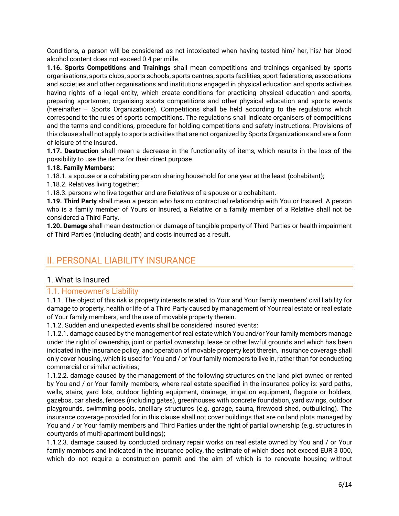Conditions, a person will be considered as not intoxicated when having tested him/ her, his/ her blood alcohol content does not exceed 0.4 per mille.

**1.16. Sports Competitions and Trainings** shall mean competitions and trainings organised by sports organisations, sports clubs, sports schools, sports centres, sports facilities, sport federations, associations and societies and other organisations and institutions engaged in physical education and sports activities having rights of a legal entity, which create conditions for practicing physical education and sports, preparing sportsmen, organising sports competitions and other physical education and sports events (hereinafter – Sports Organizations). Competitions shall be held according to the regulations which correspond to the rules of sports competitions. The regulations shall indicate organisers of competitions and the terms and conditions, procedure for holding competitions and safety instructions. Provisions of this clause shall not apply to sports activities that are not organized by Sports Organizations and are a form of leisure of the Insured.

**1.17. Destruction** shall mean a decrease in the functionality of items, which results in the loss of the possibility to use the items for their direct purpose.

#### **1.18. Family Members:**

1.18.1. a spouse or a cohabiting person sharing household for one year at the least (cohabitant);

1.18.2. Relatives living together;

1.18.3. persons who live together and are Relatives of a spouse or a cohabitant.

**1.19. Third Party** shall mean a person who has no contractual relationship with You or Insured. A person who is a family member of Yours or Insured, a Relative or a family member of a Relative shall not be considered a Third Party.

**1.20. Damage** shall mean destruction or damage of tangible property of Third Parties or health impairment of Third Parties (including death) and costs incurred as a result.

# <span id="page-5-0"></span>II. PERSONAL LIABILITY INSURANCE

#### <span id="page-5-1"></span>1. What is Insured

#### 1.1. Homeowner's Liability

1.1.1. The object of this risk is property interests related to Your and Your family members' civil liability for damage to property, health or life of a Third Party caused by management of Your real estate or real estate of Your family members, and the use of movable property therein.

1.1.2. Sudden and unexpected events shall be considered insured events:

1.1.2.1. damage caused by the management of real estate which You and/or Your family members manage under the right of ownership, joint or partial ownership, lease or other lawful grounds and which has been indicated in the insurance policy, and operation of movable property kept therein. Insurance coverage shall only cover housing, which is used for You and / or Your family members to live in, rather than for conducting commercial or similar activities;

1.1.2.2. damage caused by the management of the following structures on the land plot owned or rented by You and / or Your family members, where real estate specified in the insurance policy is: yard paths, wells, stairs, yard lots, outdoor lighting equipment, drainage, irrigation equipment, flagpole or holders, gazebos, car sheds, fences (including gates), greenhouses with concrete foundation, yard swings, outdoor playgrounds, swimming pools, ancillary structures (e.g. garage, sauna, firewood shed, outbuilding). The insurance coverage provided for in this clause shall not cover buildings that are on land plots managed by You and / or Your family members and Third Parties under the right of partial ownership (e.g. structures in courtyards of multi-apartment buildings);

1.1.2.3. damage caused by conducted ordinary repair works on real estate owned by You and / or Your family members and indicated in the insurance policy, the estimate of which does not exceed EUR 3 000, which do not require a construction permit and the aim of which is to renovate housing without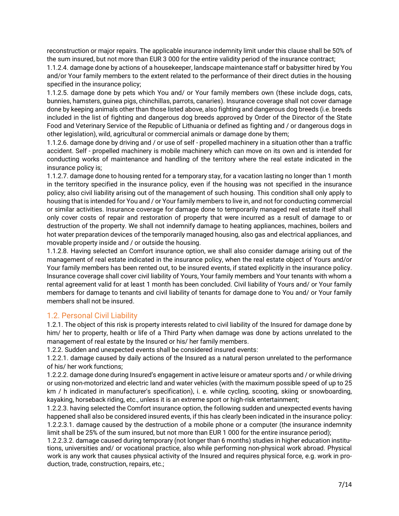reconstruction or major repairs. The applicable insurance indemnity limit under this clause shall be 50% of the sum insured, but not more than EUR 3 000 for the entire validity period of the insurance contract;

1.1.2.4. damage done by actions of a housekeeper, landscape maintenance staff or babysitter hired by You and/or Your family members to the extent related to the performance of their direct duties in the housing specified in the insurance policy;

1.1.2.5. damage done by pets which You and/ or Your family members own (these include dogs, cats, bunnies, hamsters, guinea pigs, chinchillas, parrots, canaries). Insurance coverage shall not cover damage done by keeping animals other than those listed above, also fighting and dangerous dog breeds (i.e. breeds included in the list of fighting and dangerous dog breeds approved by Order of the Director of the State Food and Veterinary Service of the Republic of Lithuania or defined as fighting and / or dangerous dogs in other legislation), wild, agricultural or commercial animals or damage done by them;

1.1.2.6. damage done by driving and / or use of self - propelled machinery in a situation other than a traffic accident. Self - propelled machinery is mobile machinery which can move on its own and is intended for conducting works of maintenance and handling of the territory where the real estate indicated in the insurance policy is;

1.1.2.7. damage done to housing rented for a temporary stay, for a vacation lasting no longer than 1 month in the territory specified in the insurance policy, even if the housing was not specified in the insurance policy; also civil liability arising out of the management of such housing. This condition shall only apply to housing that is intended for You and / or Your family members to live in, and not for conducting commercial or similar activities. Insurance coverage for damage done to temporarily managed real estate itself shall only cover costs of repair and restoration of property that were incurred as a result of damage to or destruction of the property. We shall not indemnify damage to heating appliances, machines, boilers and hot water preparation devices of the temporarily managed housing, also gas and electrical appliances, and movable property inside and / or outside the housing.

1.1.2.8. Having selected an Comfort insurance option, we shall also consider damage arising out of the management of real estate indicated in the insurance policy, when the real estate object of Yours and/or Your family members has been rented out, to be insured events, if stated explicitly in the insurance policy. Insurance coverage shall cover civil liability of Yours, Your family members and Your tenants with whom a rental agreement valid for at least 1 month has been concluded. Civil liability of Yours and/ or Your family members for damage to tenants and civil liability of tenants for damage done to You and/ or Your family members shall not be insured.

#### 1.2. Personal Civil Liability

1.2.1. The object of this risk is property interests related to civil liability of the Insured for damage done by him/ her to property, health or life of a Third Party when damage was done by actions unrelated to the management of real estate by the Insured or his/ her family members.

1.2.2. Sudden and unexpected events shall be considered insured events:

1.2.2.1. damage caused by daily actions of the Insured as a natural person unrelated to the performance of his/ her work functions;

1.2.2.2. damage done during Insured's engagement in active leisure or amateur sports and / or while driving or using non-motorized and electric land and water vehicles (with the maximum possible speed of up to 25 km / h indicated in manufacturer's specification), i. e. while cycling, scooting, skiing or snowboarding, kayaking, horseback riding, etc., unless it is an extreme sport or high-risk entertainment;

1.2.2.3. having selected the Comfort insurance option, the following sudden and unexpected events having happened shall also be considered insured events, if this has clearly been indicated in the insurance policy: 1.2.2.3.1. damage caused by the destruction of a mobile phone or a computer (the insurance indemnity limit shall be 25% of the sum insured, but not more than EUR 1 000 for the entire insurance period);

1.2.2.3.2. damage caused during temporary (not longer than 6 months) studies in higher education institutions, universities and/ or vocational practice, also while performing non-physical work abroad. Physical work is any work that causes physical activity of the Insured and requires physical force, e.g. work in production, trade, construction, repairs, etc.;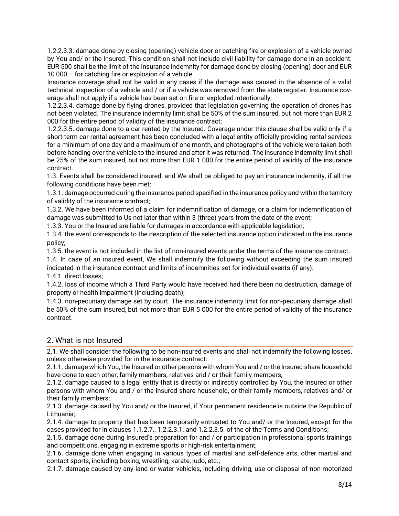1.2.2.3.3. damage done by closing (opening) vehicle door or catching fire or explosion of a vehicle owned by You and/ or the Insured. This condition shall not include civil liability for damage done in an accident. EUR 500 shall be the limit of the insurance indemnity for damage done by closing (opening) door and EUR 10 000 – for catching fire or explosion of a vehicle.

Insurance coverage shall not be valid in any cases if the damage was caused in the absence of a valid technical inspection of a vehicle and / or if a vehicle was removed from the state register. Insurance coverage shall not apply if a vehicle has been set on fire or exploded intentionally;

1.2.2.3.4. damage done by flying drones, provided that legislation governing the operation of drones has not been violated. The insurance indemnity limit shall be 50% of the sum insured, but not more than EUR 2 000 for the entire period of validity of the insurance contract;

1.2.2.3.5. damage done to a car rented by the Insured. Coverage under this clause shall be valid only if a short-term car rental agreement has been concluded with a legal entity officially providing rental services for a minimum of one day and a maximum of one month, and photographs of the vehicle were taken both before handing over the vehicle to the Insured and after it was returned. The insurance indemnity limit shall be 25% of the sum insured, but not more than EUR 1 000 for the entire period of validity of the insurance contract.

1.3. Events shall be considered insured, and We shall be obliged to pay an insurance indemnity, if all the following conditions have been met:

1.3.1. damage occurred during the insurance period specified in the insurance policy and within the territory of validity of the insurance contract;

1.3.2. We have been informed of a claim for indemnification of damage, or a claim for indemnification of damage was submitted to Us not later than within 3 (three) years from the date of the event;

1.3.3. You or the Insured are liable for damages in accordance with applicable legislation;

1.3.4. the event corresponds to the description of the selected insurance option indicated in the insurance policy;

1.3.5. the event is not included in the list of non-insured events under the terms of the insurance contract.

1.4. In case of an insured event, We shall indemnify the following without exceeding the sum insured indicated in the insurance contract and limits of indemnities set for individual events (if any):

1.4.1. direct losses;

1.4.2. loss of income which a Third Party would have received had there been no destruction, damage of property or health impairment (including death);

1.4.3. non-pecuniary damage set by court. The insurance indemnity limit for non-pecuniary damage shall be 50% of the sum insured, but not more than EUR 5 000 for the entire period of validity of the insurance contract.

#### <span id="page-7-0"></span>2. What is not Insured

2.1. We shall consider the following to be non-insured events and shall not indemnify the following losses, unless otherwise provided for in the insurance contract:

2.1.1. damage which You, the Insured or other persons with whom You and / or the Insured share household have done to each other, family members, relatives and / or their family members;

2.1.2. damage caused to a legal entity that is directly or indirectly controlled by You, the Insured or other persons with whom You and / or the Insured share household, or their family members, relatives and/ or their family members;

2.1.3. damage caused by You and/ or the Insured, if Your permanent residence is outside the Republic of Lithuania;

2.1.4. damage to property that has been temporarily entrusted to You and/ or the Insured, except for the cases provided for in clauses 1.1.2.7., 1.2.2.3.1. and 1.2.2.3.5. of the of the Terms and Conditions;

2.1.5. damage done during Insured's preparation for and / or participation in professional sports trainings and competitions, engaging in extreme sports or high-risk entertainment;

2.1.6. damage done when engaging in various types of martial and self-defence arts, other martial and contact sports, including boxing, wrestling, karate, judo, etc.;

2.1.7. damage caused by any land or water vehicles, including driving, use or disposal of non-motorized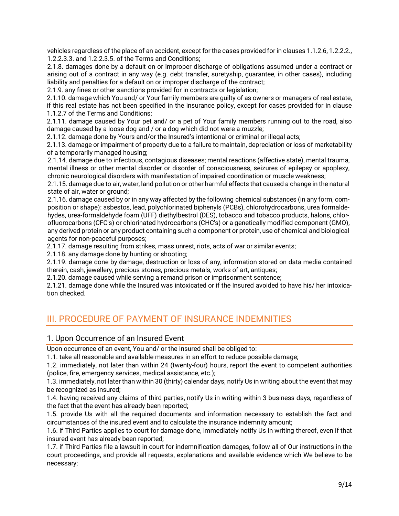vehicles regardless of the place of an accident, except for the cases provided for in clauses 1.1.2.6, 1.2.2.2., 1.2.2.3.3. and 1.2.2.3.5. of the Terms and Conditions;

2.1.8. damages done by a default on or improper discharge of obligations assumed under a contract or arising out of a contract in any way (e.g. debt transfer, suretyship, guarantee, in other cases), including liability and penalties for a default on or improper discharge of the contract;

2.1.9. any fines or other sanctions provided for in contracts or legislation;

2.1.10. damage which You and/ or Your family members are guilty of as owners or managers of real estate, if this real estate has not been specified in the insurance policy, except for cases provided for in clause 1.1.2.7 of the Terms and Conditions;

2.1.11. damage caused by Your pet and/ or a pet of Your family members running out to the road, also damage caused by a loose dog and / or a dog which did not were a muzzle;

2.1.12. damage done by Yours and/or the Insured's intentional or criminal or illegal acts;

2.1.13. damage or impairment of property due to a failure to maintain, depreciation or loss of marketability of a temporarily managed housing;

2.1.14. damage due to infectious, contagious diseases; mental reactions (affective state), mental trauma, mental illness or other mental disorder or disorder of consciousness, seizures of epilepsy or apoplexy, chronic neurological disorders with manifestation of impaired coordination or muscle weakness;

2.1.15. damage due to air, water, land pollution or other harmful effects that caused a change in the natural state of air, water or ground;

2.1.16. damage caused by or in any way affected by the following chemical substances (in any form, composition or shape): asbestos, lead, polychlorinated biphenyls (PCBs), chlorohydrocarbons, urea formaldehydes, urea-formaldehyde foam (UFF) diethylbestrol (DES), tobacco and tobacco products, halons, chlorofluorocarbons (CFC's) or chlorinated hydrocarbons (CHC's) or a genetically modified component (GMO), any derived protein or any product containing such a component or protein, use of chemical and biological agents for non-peaceful purposes;

2.1.17. damage resulting from strikes, mass unrest, riots, acts of war or similar events;

2.1.18. any damage done by hunting or shooting;

2.1.19. damage done by damage, destruction or loss of any, information stored on data media contained therein, cash, jewellery, precious stones, precious metals, works of art, antiques;

2.1.20. damage caused while serving a remand prison or imprisonment sentence;

2.1.21. damage done while the Insured was intoxicated or if the Insured avoided to have his/ her intoxication checked.

### <span id="page-8-0"></span>III. PROCEDURE OF PAYMENT OF INSURANCE INDEMNITIES

#### <span id="page-8-1"></span>1. Upon Occurrence of an Insured Event

Upon occurrence of an event, You and/ or the Insured shall be obliged to:

1.1. take all reasonable and available measures in an effort to reduce possible damage;

1.2. immediately, not later than within 24 (twenty-four) hours, report the event to competent authorities (police, fire, emergency services, medical assistance, etc.);

1.3. immediately, not later than within 30 (thirty) calendar days, notify Us in writing about the event that may be recognized as insured;

1.4. having received any claims of third parties, notify Us in writing within 3 business days, regardless of the fact that the event has already been reported;

1.5. provide Us with all the required documents and information necessary to establish the fact and circumstances of the insured event and to calculate the insurance indemnity amount;

1.6. if Third Parties applies to court for damage done, immediately notify Us in writing thereof, even if that insured event has already been reported;

1.7. if Third Parties file a lawsuit in court for indemnification damages, follow all of Our instructions in the court proceedings, and provide all requests, explanations and available evidence which We believe to be necessary;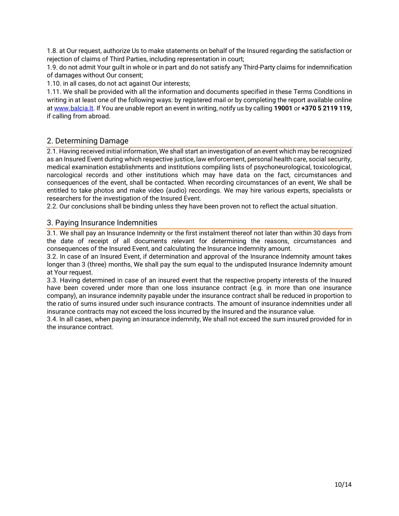1.8. at Our request, authorize Us to make statements on behalf of the Insured regarding the satisfaction or rejection of claims of Third Parties, including representation in court;

1.9. do not admit Your guilt in whole or in part and do not satisfy any Third-Party claims for indemnification of damages without Our consent;

1.10. in all cases, do not act against Our interests;

1.11. We shall be provided with all the information and documents specified in these Terms Conditions in writing in at least one of the following ways: by registered mail or by completing the report available online at [www.balcia.lt.](http://www.balcia.lt/) If You are unable report an event in writing, notify us by calling **19001** or **+370 5 2119 119,**  if calling from abroad.

#### <span id="page-9-0"></span>2. Determining Damage

2.1. Having received initial information, We shall start an investigation of an event which may be recognized as an Insured Event during which respective justice, law enforcement, personal health care, social security, medical examination establishments and institutions compiling lists of psychoneurological, toxicological, narcological records and other institutions which may have data on the fact, circumstances and consequences of the event, shall be contacted. When recording circumstances of an event, We shall be entitled to take photos and make video (audio) recordings. We may hire various experts, specialists or researchers for the investigation of the Insured Event.

2.2. Our conclusions shall be binding unless they have been proven not to reflect the actual situation.

#### <span id="page-9-1"></span>3. Paying Insurance Indemnities

3.1. We shall pay an Insurance Indemnity or the first instalment thereof not later than within 30 days from the date of receipt of all documents relevant for determining the reasons, circumstances and consequences of the Insured Event, and calculating the Insurance Indemnity amount.

3.2. In case of an Insured Event, if determination and approval of the Insurance Indemnity amount takes longer than 3 (three) months, We shall pay the sum equal to the undisputed Insurance Indemnity amount at Your request.

3.3. Having determined in case of an insured event that the respective property interests of the Insured have been covered under more than one loss insurance contract (e.g. in more than one insurance company), an insurance indemnity payable under the insurance contract shall be reduced in proportion to the ratio of sums insured under such insurance contracts. The amount of insurance indemnities under all insurance contracts may not exceed the loss incurred by the Insured and the insurance value.

3.4. In all cases, when paying an insurance indemnity, We shall not exceed the sum insured provided for in the insurance contract.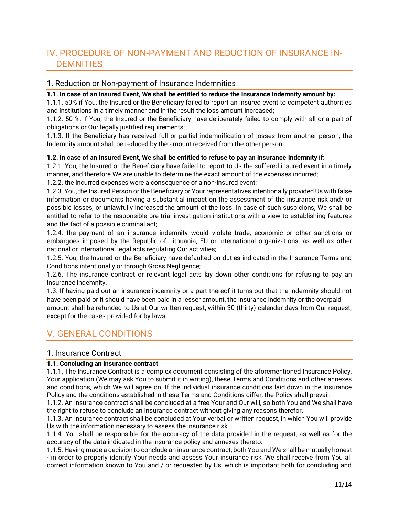# <span id="page-10-0"></span>IV. PROCEDURE OF NON-PAYMENT AND REDUCTION OF INSURANCE IN-**DEMNITIES**

#### <span id="page-10-1"></span>1. Reduction or Non-payment of Insurance Indemnities

#### **1.1. In case of an Insured Event, We shall be entitled to reduce the Insurance Indemnity amount by:**

1.1.1. 50% if You, the Insured or the Beneficiary failed to report an insured event to competent authorities and institutions in a timely manner and in the result the loss amount increased;

1.1.2. 50 %, if You, the Insured or the Beneficiary have deliberately failed to comply with all or a part of obligations or Our legally justified requirements;

1.1.3. If the Beneficiary has received full or partial indemnification of losses from another person, the Indemnity amount shall be reduced by the amount received from the other person.

#### **1.2. In case of an Insured Event, We shall be entitled to refuse to pay an Insurance Indemnity if:**

1.2.1. You, the Insured or the Beneficiary have failed to report to Us the suffered insured event in a timely manner, and therefore We are unable to determine the exact amount of the expenses incurred;

1.2.2. the incurred expenses were a consequence of a non-insured event;

1.2.3. You, the Insured Person or the Beneficiary or Your representatives intentionally provided Us with false information or documents having a substantial impact on the assessment of the insurance risk and/ or possible losses, or unlawfully increased the amount of the loss. In case of such suspicions, We shall be entitled to refer to the responsible pre-trial investigation institutions with a view to establishing features and the fact of a possible criminal act;

1.2.4. the payment of an insurance indemnity would violate trade, economic or other sanctions or embargoes imposed by the Republic of Lithuania, EU or international organizations, as well as other national or international legal acts regulating Our activities;

1.2.5. You, the Insured or the Beneficiary have defaulted on duties indicated in the Insurance Terms and Conditions intentionally or through Gross Negligence;

1.2.6. The insurance contract or relevant legal acts lay down other conditions for refusing to pay an insurance indemnity.

1.3. If having paid out an insurance indemnity or a part thereof it turns out that the indemnity should not have been paid or it should have been paid in a lesser amount, the insurance indemnity or the overpaid amount shall be refunded to Us at Our written request, within 30 (thirty) calendar days from Our request,

## <span id="page-10-2"></span>V. GENERAL CONDITIONS

except for the cases provided for by laws.

#### <span id="page-10-3"></span>1. Insurance Contract

#### **1.1. Concluding an insurance contract**

1.1.1. The Insurance Contract is a complex document consisting of the aforementioned Insurance Policy, Your application (We may ask You to submit it in writing), these Terms and Conditions and other annexes and conditions, which We will agree on. If the individual insurance conditions laid down in the Insurance Policy and the conditions established in these Terms and Conditions differ, the Policy shall prevail.

1.1.2. An insurance contract shall be concluded at a free Your and Our will, so both You and We shall have the right to refuse to conclude an insurance contract without giving any reasons therefor.

1.1.3. An insurance contract shall be concluded at Your verbal or written request, in which You will provide Us with the information necessary to assess the insurance risk.

1.1.4. You shall be responsible for the accuracy of the data provided in the request, as well as for the accuracy of the data indicated in the insurance policy and annexes thereto.

1.1.5. Having made a decision to conclude an insurance contract, both You and We shall be mutually honest - in order to properly identify Your needs and assess Your insurance risk, We shall receive from You all correct information known to You and / or requested by Us, which is important both for concluding and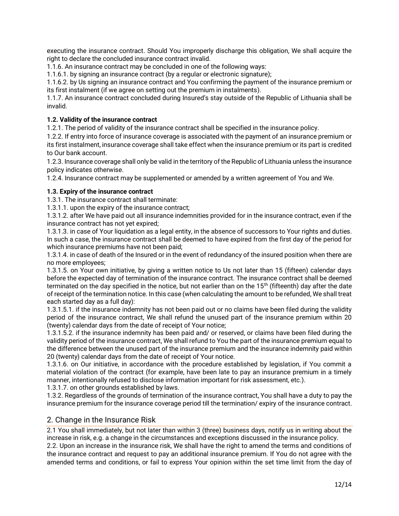executing the insurance contract. Should You improperly discharge this obligation, We shall acquire the right to declare the concluded insurance contract invalid.

1.1.6. An insurance contract may be concluded in one of the following ways:

1.1.6.1. by signing an insurance contract (by a regular or electronic signature);

1.1.6.2. by Us signing an insurance contract and You confirming the payment of the insurance premium or its first instalment (if we agree on setting out the premium in instalments).

1.1.7. An insurance contract concluded during Insured's stay outside of the Republic of Lithuania shall be invalid.

#### **1.2. Validity of the insurance contract**

1.2.1. The period of validity of the insurance contract shall be specified in the insurance policy.

1.2.2. If entry into force of insurance coverage is associated with the payment of an insurance premium or its first instalment, insurance coverage shall take effect when the insurance premium or its part is credited to Our bank account.

1.2.3. Insurance coverage shall only be valid in the territory of the Republic of Lithuania unless the insurance policy indicates otherwise.

1.2.4. Insurance contract may be supplemented or amended by a written agreement of You and We.

#### **1.3. Expiry of the insurance contract**

1.3.1. The insurance contract shall terminate:

1.3.1.1. upon the expiry of the insurance contract;

1.3.1.2. after We have paid out all insurance indemnities provided for in the insurance contract, even if the insurance contract has not yet expired;

1.3.1.3. in case of Your liquidation as a legal entity, in the absence of successors to Your rights and duties. In such a case, the insurance contract shall be deemed to have expired from the first day of the period for which insurance premiums have not been paid;

1.3.1.4. in case of death of the Insured or in the event of redundancy of the insured position when there are no more employees;

1.3.1.5. on Your own initiative, by giving a written notice to Us not later than 15 (fifteen) calendar days before the expected day of termination of the insurance contract. The insurance contract shall be deemed terminated on the day specified in the notice, but not earlier than on the 15th (fifteenth) day after the date of receipt of the termination notice. In this case (when calculating the amount to be refunded, We shall treat each started day as a full day):

1.3.1.5.1. if the insurance indemnity has not been paid out or no claims have been filed during the validity period of the insurance contract, We shall refund the unused part of the insurance premium within 20 (twenty) calendar days from the date of receipt of Your notice;

1.3.1.5.2. if the insurance indemnity has been paid and/ or reserved, or claims have been filed during the validity period of the insurance contract, We shall refund to You the part of the insurance premium equal to the difference between the unused part of the insurance premium and the insurance indemnity paid within 20 (twenty) calendar days from the date of receipt of Your notice.

1.3.1.6. on Our initiative, in accordance with the procedure established by legislation, if You commit a material violation of the contract (for example, have been late to pay an insurance premium in a timely manner, intentionally refused to disclose information important for risk assessment, etc.).

1.3.1.7. on other grounds established by laws.

1.3.2. Regardless of the grounds of termination of the insurance contract, You shall have a duty to pay the insurance premium for the insurance coverage period till the termination/ expiry of the insurance contract.

#### <span id="page-11-0"></span>2. Change in the Insurance Risk

2.1 You shall immediately, but not later than within 3 (three) business days, notify us in writing about the increase in risk, e.g. a change in the circumstances and exceptions discussed in the insurance policy. 2.2. Upon an increase in the insurance risk, We shall have the right to amend the terms and conditions of the insurance contract and request to pay an additional insurance premium. If You do not agree with the amended terms and conditions, or fail to express Your opinion within the set time limit from the day of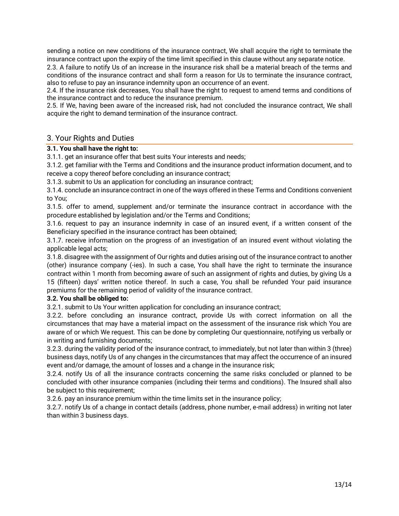sending a notice on new conditions of the insurance contract, We shall acquire the right to terminate the insurance contract upon the expiry of the time limit specified in this clause without any separate notice.

2.3. A failure to notify Us of an increase in the insurance risk shall be a material breach of the terms and conditions of the insurance contract and shall form a reason for Us to terminate the insurance contract, also to refuse to pay an insurance indemnity upon an occurrence of an event.

2.4. If the insurance risk decreases, You shall have the right to request to amend terms and conditions of the insurance contract and to reduce the insurance premium.

2.5. If We, having been aware of the increased risk, had not concluded the insurance contract, We shall acquire the right to demand termination of the insurance contract.

#### <span id="page-12-0"></span>3. Your Rights and Duties

#### **3.1. You shall have the right to:**

3.1.1. get an insurance offer that best suits Your interests and needs;

3.1.2. get familiar with the Terms and Conditions and the insurance product information document, and to receive a copy thereof before concluding an insurance contract;

3.1.3. submit to Us an application for concluding an insurance contract;

3.1.4. conclude an insurance contract in one of the ways offered in these Terms and Conditions convenient to You;

3.1.5. offer to amend, supplement and/or terminate the insurance contract in accordance with the procedure established by legislation and/or the Terms and Conditions;

3.1.6. request to pay an insurance indemnity in case of an insured event, if a written consent of the Beneficiary specified in the insurance contract has been obtained;

3.1.7. receive information on the progress of an investigation of an insured event without violating the applicable legal acts;

3.1.8. disagree with the assignment of Our rights and duties arising out of the insurance contract to another (other) insurance company (-ies). In such a case, You shall have the right to terminate the insurance contract within 1 month from becoming aware of such an assignment of rights and duties, by giving Us a 15 (fifteen) days' written notice thereof. In such a case, You shall be refunded Your paid insurance premiums for the remaining period of validity of the insurance contract.

#### **3.2. You shall be obliged to:**

3.2.1. submit to Us Your written application for concluding an insurance contract;

3.2.2. before concluding an insurance contract, provide Us with correct information on all the circumstances that may have a material impact on the assessment of the insurance risk which You are aware of or which We request. This can be done by completing Our questionnaire, notifying us verbally or in writing and furnishing documents;

3.2.3. during the validity period of the insurance contract, to immediately, but not later than within 3 (three) business days, notify Us of any changes in the circumstances that may affect the occurrence of an insured event and/or damage, the amount of losses and a change in the insurance risk;

3.2.4. notify Us of all the insurance contracts concerning the same risks concluded or planned to be concluded with other insurance companies (including their terms and conditions). The Insured shall also be subject to this requirement;

3.2.6. pay an insurance premium within the time limits set in the insurance policy;

3.2.7. notify Us of a change in contact details (address, phone number, e-mail address) in writing not later than within 3 business days.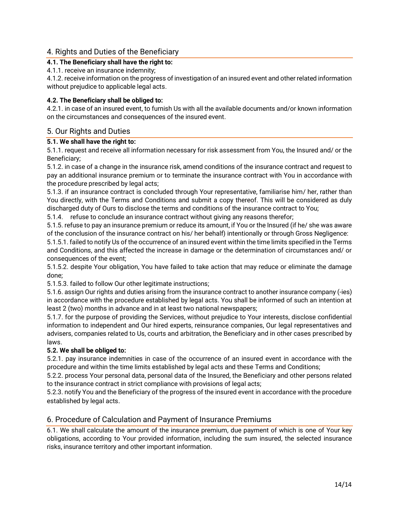#### <span id="page-13-0"></span>4. Rights and Duties of the Beneficiary

**4.1. The Beneficiary shall have the right to:**

4.1.1. receive an insurance indemnity;

4.1.2. receive information on the progress of investigation of an insured event and other related information without prejudice to applicable legal acts.

#### **4.2. The Beneficiary shall be obliged to:**

4.2.1. in case of an insured event, to furnish Us with all the available documents and/or known information on the circumstances and consequences of the insured event.

#### <span id="page-13-1"></span>5. Our Rights and Duties

#### **5.1. We shall have the right to:**

5.1.1. request and receive all information necessary for risk assessment from You, the Insured and/ or the Beneficiary;

5.1.2. in case of a change in the insurance risk, amend conditions of the insurance contract and request to pay an additional insurance premium or to terminate the insurance contract with You in accordance with the procedure prescribed by legal acts;

5.1.3. if an insurance contract is concluded through Your representative, familiarise him/ her, rather than You directly, with the Terms and Conditions and submit a copy thereof. This will be considered as duly discharged duty of Ours to disclose the terms and conditions of the insurance contract to You;

5.1.4. refuse to conclude an insurance contract without giving any reasons therefor;

5.1.5. refuse to pay an insurance premium or reduce its amount, if You or the Insured (if he/ she was aware of the conclusion of the insurance contract on his/ her behalf) intentionally or through Gross Negligence:

5.1.5.1. failed to notify Us of the occurrence of an insured event within the time limits specified in the Terms and Conditions, and this affected the increase in damage or the determination of circumstances and/ or consequences of the event;

5.1.5.2. despite Your obligation, You have failed to take action that may reduce or eliminate the damage done;

5.1.5.3. failed to follow Our other legitimate instructions;

5.1.6. assign Our rights and duties arising from the insurance contract to another insurance company (-ies) in accordance with the procedure established by legal acts. You shall be informed of such an intention at least 2 (two) months in advance and in at least two national newspapers;

5.1.7. for the purpose of providing the Services, without prejudice to Your interests, disclose confidential information to independent and Our hired experts, reinsurance companies, Our legal representatives and advisers, companies related to Us, courts and arbitration, the Beneficiary and in other cases prescribed by laws.

#### **5.2. We shall be obliged to:**

5.2.1. pay insurance indemnities in case of the occurrence of an insured event in accordance with the procedure and within the time limits established by legal acts and these Terms and Conditions;

5.2.2. process Your personal data, personal data of the Insured, the Beneficiary and other persons related to the insurance contract in strict compliance with provisions of legal acts;

5.2.3. notify You and the Beneficiary of the progress of the insured event in accordance with the procedure established by legal acts.

#### <span id="page-13-2"></span>6. Procedure of Calculation and Payment of Insurance Premiums

6.1. We shall calculate the amount of the insurance premium, due payment of which is one of Your key obligations, according to Your provided information, including the sum insured, the selected insurance risks, insurance territory and other important information.